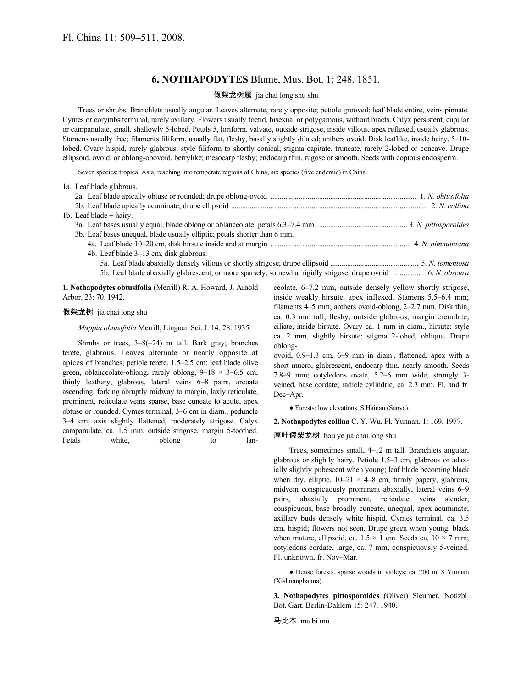## **6. NOTHAPODYTES** Blume, Mus. Bot. 1: 248. 1851.

## 假柴龙树属 jia chai long shu shu

Trees or shrubs. Branchlets usually angular. Leaves alternate, rarely opposite; petiole grooved; leaf blade entire, veins pinnate. Cymes or corymbs terminal, rarely axillary. Flowers usually foetid, bisexual or polygamous, without bracts. Calyx persistent, cupular or campanulate, small, shallowly 5-lobed. Petals 5, loriform, valvate, outside strigose, inside villous, apex reflexed, usually glabrous. Stamens usually free; filaments filiform, usually flat, fleshy, basally slightly dilated; anthers ovoid. Disk leaflike, inside hairy, 5–10 lobed. Ovary hispid, rarely glabrous; style filiform to shortly conical; stigma capitate, truncate, rarely 2-lobed or concave. Drupe ellipsoid, ovoid, or oblong-obovoid, berrylike; mesocarp fleshy; endocarp thin, rugose or smooth. Seeds with copious endosperm.

Seven species: tropical Asia, reaching into temperate regions of China; six species (five endemic) in China.

|  | 1a. Leaf blade glabrous.                                                                                      |  |
|--|---------------------------------------------------------------------------------------------------------------|--|
|  |                                                                                                               |  |
|  |                                                                                                               |  |
|  | 1b. Leaf blade $\pm$ hairy.                                                                                   |  |
|  |                                                                                                               |  |
|  | 3b. Leaf bases unequal, blade usually elliptic; petals shorter than 6 mm.                                     |  |
|  |                                                                                                               |  |
|  | 4b. Leaf blade 3–13 cm, disk glabrous.                                                                        |  |
|  |                                                                                                               |  |
|  | 5b. Leaf blade abaxially glabrescent, or more sparsely, somewhat rigidly strigose; drupe ovoid  6. N. obscura |  |

**1. Nothapodytes obtusifolia** (Merrill) R. A. Howard, J. Arnold Arbor. 23: 70. 1942.

#### 假柴龙树 jia chai long shu

*Mappia obtusifolia* Merrill, Lingnan Sci. J. 14: 28. 1935.

Shrubs or trees, 3–8(–24) m tall. Bark gray; branches terete, glabrous. Leaves alternate or nearly opposite at apices of branches; petiole terete, 1.5–2.5 cm; leaf blade olive green, oblanceolate-oblong, rarely oblong,  $9-18 \times 3-6.5$  cm, thinly leathery, glabrous, lateral veins 6–8 pairs, arcuate ascending, forking abruptly midway to margin, laxly reticulate, prominent, reticulate veins sparse, base cuneate to acute, apex obtuse or rounded. Cymes terminal, 3–6 cm in diam.; peduncle 3–4 cm; axis slightly flattened, moderately strigose. Calyx campanulate, ca. 1.5 mm, outside strigose, margin 5-toothed. Petals white, oblong to lanceolate, 6–7.2 mm, outside densely yellow shortly strigose, inside weakly hirsute, apex inflexed. Stamens 5.5–6.4 mm; filaments 4–5 mm; anthers ovoid-oblong, 2–2.7 mm. Disk thin, ca. 0.3 mm tall, fleshy, outside glabrous, margin crenulate, ciliate, inside hirsute. Ovary ca. 1 mm in diam., hirsute; style ca. 2 mm, slightly hirsute; stigma 2-lobed, oblique. Drupe oblong-

ovoid, 0.9–1.3 cm, 6–9 mm in diam., flattened, apex with a short mucro, glabrescent, endocarp thin, nearly smooth. Seeds 7.8–9 mm; cotyledons ovate, 5.2–6 mm wide, strongly 3 veined, base cordate; radicle cylindric, ca. 2.3 mm. Fl. and fr. Dec–Apr.

● Forests; low elevations. S Hainan (Sanya).

**2. Nothapodytes collina** C. Y. Wu, Fl. Yunnan. 1: 169. 1977.

厚叶假柴龙树 hou ye jia chai long shu

Trees, sometimes small, 4–12 m tall. Branchlets angular, glabrous or slightly hairy. Petiole 1.5–3 cm, glabrous or adaxially slightly pubescent when young; leaf blade becoming black when dry, elliptic,  $10-21 \times 4-8$  cm, firmly papery, glabrous, midvein conspicuously prominent abaxially, lateral veins 6–9 pairs, abaxially prominent, reticulate veins slender, conspicuous, base broadly cuneate, unequal, apex acuminate; axillary buds densely white hispid. Cymes terminal, ca. 3.5 cm, hispid; flowers not seen. Drupe green when young, black when mature, ellipsoid, ca.  $1.5 \times 1$  cm. Seeds ca.  $10 \times 7$  mm; cotyledons cordate, large, ca. 7 mm, conspicuously 5-veined. Fl. unknown, fr. Nov–Mar.

● Dense forests, sparse woods in valleys; ca. 700 m. S Yunnan (Xishuangbanna).

**3. Nothapodytes pittosporoides** (Oliver) Sleumer, Notizbl. Bot. Gart. Berlin-Dahlem 15: 247. 1940.

马比木 ma bi mu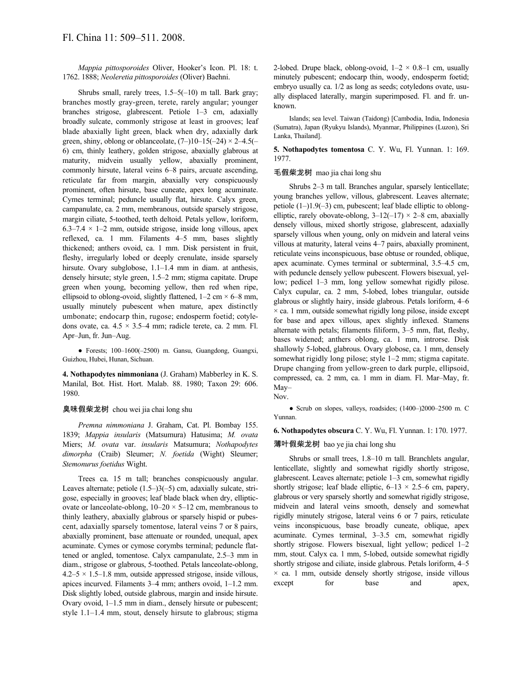*Mappia pittosporoides* Oliver, Hooker's Icon. Pl. 18: t. 1762. 1888; *Neoleretia pittosporoides* (Oliver) Baehni.

Shrubs small, rarely trees, 1.5–5(–10) m tall. Bark gray; branches mostly gray-green, terete, rarely angular; younger branches strigose, glabrescent. Petiole 1–3 cm, adaxially broadly sulcate, commonly strigose at least in grooves; leaf blade abaxially light green, black when dry, adaxially dark green, shiny, oblong or oblanceolate,  $(7-)10-15(-24) \times 2-4.5(-$ 6) cm, thinly leathery, golden strigose, abaxially glabrous at maturity, midvein usually yellow, abaxially prominent, commonly hirsute, lateral veins 6–8 pairs, arcuate ascending, reticulate far from margin, abaxially very conspicuously prominent, often hirsute, base cuneate, apex long acuminate. Cymes terminal; peduncle usually flat, hirsute. Calyx green, campanulate, ca. 2 mm, membranous, outside sparsely strigose, margin ciliate, 5-toothed, teeth deltoid. Petals yellow, loriform, 6.3–7.4  $\times$  1–2 mm, outside strigose, inside long villous, apex reflexed, ca. 1 mm. Filaments 4–5 mm, bases slightly thickened; anthers ovoid, ca. 1 mm. Disk persistent in fruit, fleshy, irregularly lobed or deeply crenulate, inside sparsely hirsute. Ovary subglobose, 1.1-1.4 mm in diam. at anthesis, densely hirsute; style green, 1.5–2 mm; stigma capitate. Drupe green when young, becoming yellow, then red when ripe, ellipsoid to oblong-ovoid, slightly flattened,  $1-2$  cm  $\times$  6–8 mm, usually minutely pubescent when mature, apex distinctly umbonate; endocarp thin, rugose; endosperm foetid; cotyledons ovate, ca.  $4.5 \times 3.5-4$  mm; radicle terete, ca. 2 mm. Fl. Apr–Jun, fr. Jun–Aug.

● Forests; 100–1600(–2500) m. Gansu, Guangdong, Guangxi, Guizhou, Hubei, Hunan, Sichuan.

**4. Nothapodytes nimmoniana** (J. Graham) Mabberley in K. S. Manilal, Bot. Hist. Hort. Malab. 88. 1980; Taxon 29: 606. 1980.

### 臭味假柴龙树 chou wei jia chai long shu

*Premna nimmoniana* J. Graham, Cat. Pl. Bombay 155. 1839; *Mappia insularis* (Matsumura) Hatusima; *M. ovata* Miers; *M. ovata* var. *insularis* Matsumura; *Nothapodytes dimorpha* (Craib) Sleumer; *N. foetida* (Wight) Sleumer; *Stemonurus foetidus* Wight.

Trees ca. 15 m tall; branches conspicuously angular. Leaves alternate; petiole (1.5–)3(–5) cm, adaxially sulcate, strigose, especially in grooves; leaf blade black when dry, ellipticovate or lanceolate-oblong,  $10-20 \times 5-12$  cm, membranous to thinly leathery, abaxially glabrous or sparsely hispid or pubescent, adaxially sparsely tomentose, lateral veins 7 or 8 pairs, abaxially prominent, base attenuate or rounded, unequal, apex acuminate. Cymes or cymose corymbs terminal; peduncle flattened or angled, tomentose. Calyx campanulate, 2.5–3 mm in diam., strigose or glabrous, 5-toothed. Petals lanceolate-oblong,  $4.2-5 \times 1.5-1.8$  mm, outside appressed strigose, inside villous, apices incurved. Filaments 3–4 mm; anthers ovoid, 1–1.2 mm. Disk slightly lobed, outside glabrous, margin and inside hirsute. Ovary ovoid, 1–1.5 mm in diam., densely hirsute or pubescent; style 1.1–1.4 mm, stout, densely hirsute to glabrous; stigma 2-lobed. Drupe black, oblong-ovoid,  $1-2 \times 0.8-1$  cm, usually minutely pubescent; endocarp thin, woody, endosperm foetid; embryo usually ca. 1/2 as long as seeds; cotyledons ovate, usually displaced laterally, margin superimposed. Fl. and fr. unknown.

Islands; sea level. Taiwan (Taidong) [Cambodia, India, Indonesia (Sumatra), Japan (Ryukyu Islands), Myanmar, Philippines (Luzon), Sri Lanka, Thailand].

**5. Nothapodytes tomentosa** C. Y. Wu, Fl. Yunnan. 1: 169. 1977.

#### 毛假柴龙树 mao jia chai long shu

Shrubs 2–3 m tall. Branches angular, sparsely lenticellate; young branches yellow, villous, glabrescent. Leaves alternate; petiole (1–)1.9(–3) cm, pubescent; leaf blade elliptic to oblongelliptic, rarely obovate-oblong,  $3-12(-17) \times 2-8$  cm, abaxially densely villous, mixed shortly strigose, glabrescent, adaxially sparsely villous when young, only on midvein and lateral veins villous at maturity, lateral veins 4–7 pairs, abaxially prominent, reticulate veins inconspicuous, base obtuse or rounded, oblique, apex acuminate. Cymes terminal or subterminal, 3.5–4.5 cm, with peduncle densely yellow pubescent. Flowers bisexual, yellow; pedicel 1–3 mm, long yellow somewhat rigidly pilose. Calyx cupular, ca. 2 mm, 5-lobed, lobes triangular, outside glabrous or slightly hairy, inside glabrous. Petals loriform, 4–6  $\times$  ca. 1 mm, outside somewhat rigidly long pilose, inside except for base and apex villous, apex slightly inflexed. Stamens alternate with petals; filaments filiform, 3–5 mm, flat, fleshy, bases widened; anthers oblong, ca. 1 mm, introrse. Disk shallowly 5-lobed, glabrous. Ovary globose, ca. 1 mm, densely somewhat rigidly long pilose; style 1–2 mm; stigma capitate. Drupe changing from yellow-green to dark purple, ellipsoid, compressed, ca. 2 mm, ca. 1 mm in diam. Fl. Mar–May, fr. May– Nov.

● Scrub on slopes, valleys, roadsides; (1400–)2000–2500 m. C Yunnan.

#### **6. Nothapodytes obscura** C. Y. Wu, Fl. Yunnan. 1: 170. 1977.

### 薄叶假柴龙树 bao ye jia chai long shu

Shrubs or small trees, 1.8–10 m tall. Branchlets angular, lenticellate, slightly and somewhat rigidly shortly strigose, glabrescent. Leaves alternate; petiole 1–3 cm, somewhat rigidly shortly strigose; leaf blade elliptic,  $6-13 \times 2.5-6$  cm, papery, glabrous or very sparsely shortly and somewhat rigidly strigose, midvein and lateral veins smooth, densely and somewhat rigidly minutely strigose, lateral veins 6 or 7 pairs, reticulate veins inconspicuous, base broadly cuneate, oblique, apex acuminate. Cymes terminal, 3–3.5 cm, somewhat rigidly shortly strigose. Flowers bisexual, light yellow; pedicel 1–2 mm, stout. Calyx ca. 1 mm, 5-lobed, outside somewhat rigidly shortly strigose and ciliate, inside glabrous. Petals loriform, 4–5  $\times$  ca. 1 mm, outside densely shortly strigose, inside villous except for base and apex,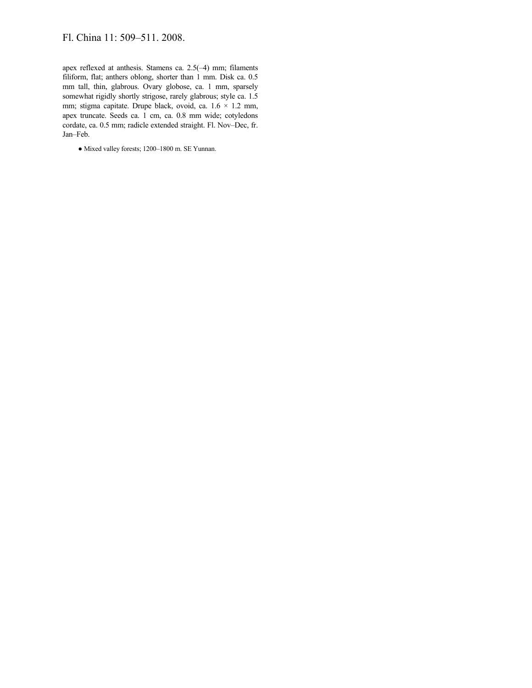# Fl. China 11: 509–511. 2008.

apex reflexed at anthesis. Stamens ca. 2.5(–4) mm; filaments filiform, flat; anthers oblong, shorter than 1 mm. Disk ca. 0.5 mm tall, thin, glabrous. Ovary globose, ca. 1 mm, sparsely somewhat rigidly shortly strigose, rarely glabrous; style ca. 1.5 mm; stigma capitate. Drupe black, ovoid, ca. 1.6 × 1.2 mm, apex truncate. Seeds ca. 1 cm, ca. 0.8 mm wide; cotyledons cordate, ca. 0.5 mm; radicle extended straight. Fl. Nov–Dec, fr. Jan–Feb.

● Mixed valley forests; 1200–1800 m. SE Yunnan.